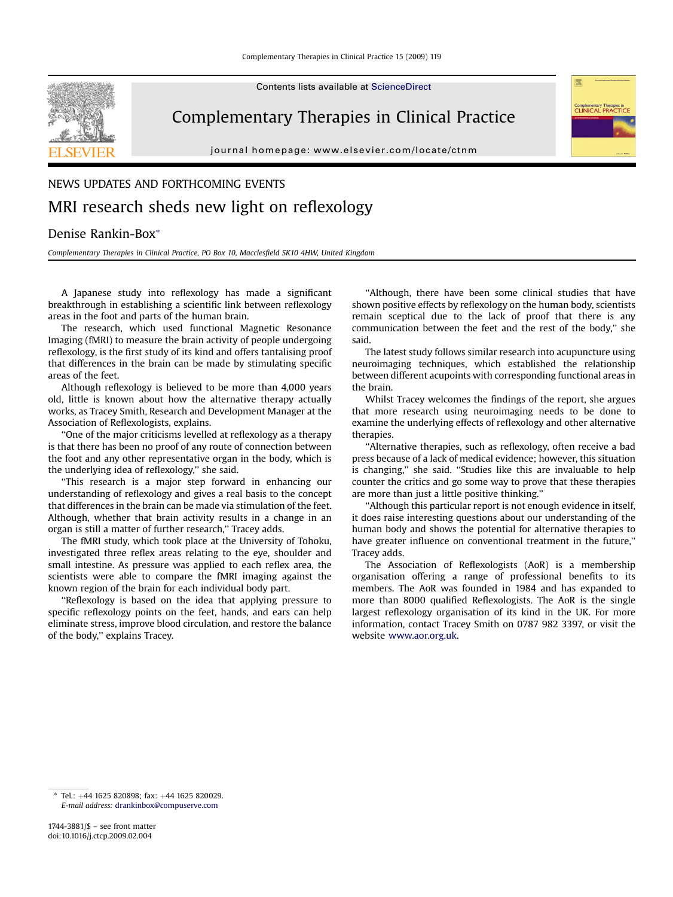

Contents lists available at [ScienceDirect](www.sciencedirect.com/science/journal/17443881)

## Complementary Therapies in Clinical Practice

journal homepage: [www.elsevier.com/locate/ctnm](http://www.elsevier.com/locate/ctnm)

# NEWS UPDATES AND FORTHCOMING EVENTS MRI research sheds new light on reflexology

### Denise Rankin-Box\*

Complementary Therapies in Clinical Practice, PO Box 10, Macclesfield SK10 4HW, United Kingdom

A Japanese study into reflexology has made a significant breakthrough in establishing a scientific link between reflexology areas in the foot and parts of the human brain.

The research, which used functional Magnetic Resonance Imaging (fMRI) to measure the brain activity of people undergoing reflexology, is the first study of its kind and offers tantalising proof that differences in the brain can be made by stimulating specific areas of the feet.

Although reflexology is believed to be more than 4,000 years old, little is known about how the alternative therapy actually works, as Tracey Smith, Research and Development Manager at the Association of Reflexologists, explains.

''One of the major criticisms levelled at reflexology as a therapy is that there has been no proof of any route of connection between the foot and any other representative organ in the body, which is the underlying idea of reflexology,'' she said.

''This research is a major step forward in enhancing our understanding of reflexology and gives a real basis to the concept that differences in the brain can be made via stimulation of the feet. Although, whether that brain activity results in a change in an organ is still a matter of further research,'' Tracey adds.

The fMRI study, which took place at the University of Tohoku, investigated three reflex areas relating to the eye, shoulder and small intestine. As pressure was applied to each reflex area, the scientists were able to compare the fMRI imaging against the known region of the brain for each individual body part.

''Reflexology is based on the idea that applying pressure to specific reflexology points on the feet, hands, and ears can help eliminate stress, improve blood circulation, and restore the balance of the body,'' explains Tracey.

''Although, there have been some clinical studies that have shown positive effects by reflexology on the human body, scientists remain sceptical due to the lack of proof that there is any communication between the feet and the rest of the body,'' she said.

The latest study follows similar research into acupuncture using neuroimaging techniques, which established the relationship between different acupoints with corresponding functional areas in the brain.

Whilst Tracey welcomes the findings of the report, she argues that more research using neuroimaging needs to be done to examine the underlying effects of reflexology and other alternative therapies.

''Alternative therapies, such as reflexology, often receive a bad press because of a lack of medical evidence; however, this situation is changing,'' she said. ''Studies like this are invaluable to help counter the critics and go some way to prove that these therapies are more than just a little positive thinking.''

''Although this particular report is not enough evidence in itself, it does raise interesting questions about our understanding of the human body and shows the potential for alternative therapies to have greater influence on conventional treatment in the future,'' Tracey adds.

The Association of Reflexologists (AoR) is a membership organisation offering a range of professional benefits to its members. The AoR was founded in 1984 and has expanded to more than 8000 qualified Reflexologists. The AoR is the single largest reflexology organisation of its kind in the UK. For more information, contact Tracey Smith on 0787 982 3397, or visit the website [www.aor.org.uk](http://www.aor.org.uk).

Tel.: +44 1625 820898; fax: +44 1625 820029. E-mail address: [drankinbox@compuserve.com](mailto:drankinbox@compuserve.com)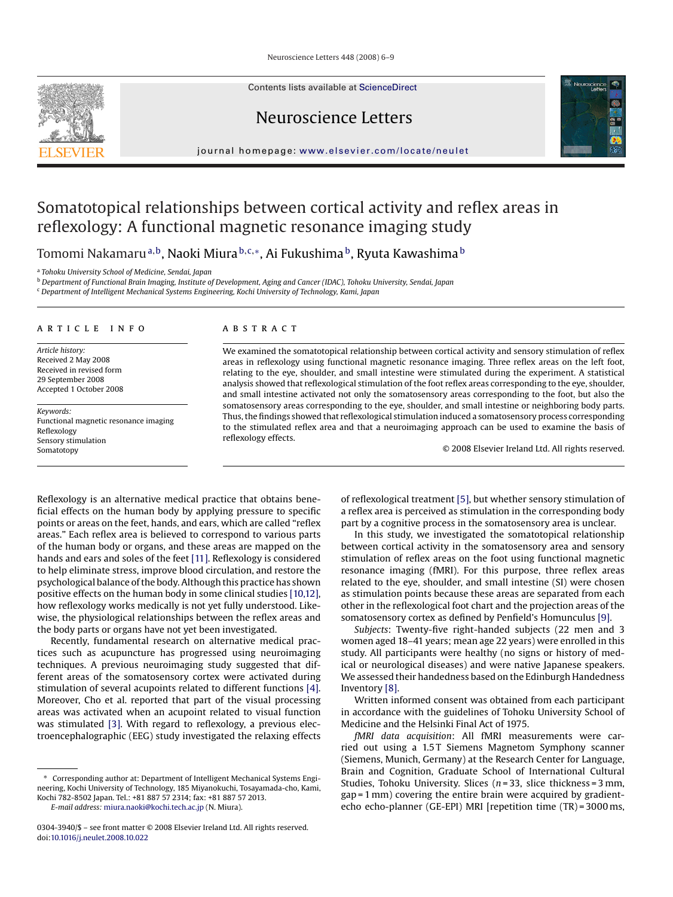Neuroscience Letters 448 (2008) 6–9

Contents lists available at [ScienceDirect](http://www.sciencedirect.com/science/journal/03043940)

Neuroscience Letters



journal homepage: [www.elsevier.com/locate/neulet](http://www.elsevier.com/locate/neulet)

## Somatotopical relationships between cortical activity and reflex areas in reflexology: A functional magnetic resonance imaging study

Tomomi Nakamaru<sup>a,b</sup>, Naoki Miura b,c,\*, Ai Fukushima <sup>b</sup>, Ryuta Kawashima <sup>b</sup>

<sup>a</sup> *Tohoku University School of Medicine, Sendai, Japan*

<sup>b</sup> *Department of Functional Brain Imaging, Institute of Development, Aging and Cancer (IDAC), Tohoku University, Sendai, Japan*

<sup>c</sup> *Department of Intelligent Mechanical Systems Engineering, Kochi University of Technology, Kami, Japan*

#### article info

*Article history:* Received 2 May 2008 Received in revised form 29 September 2008 Accepted 1 October 2008

*Keywords:* Functional magnetic resonance imaging Reflexology Sensory stimulation Somatotopy

#### ABSTRACT

We examined the somatotopical relationship between cortical activity and sensory stimulation of reflex areas in reflexology using functional magnetic resonance imaging. Three reflex areas on the left foot, relating to the eye, shoulder, and small intestine were stimulated during the experiment. A statistical analysis showed that reflexological stimulation of the foot reflex areas corresponding to the eye, shoulder, and small intestine activated not only the somatosensory areas corresponding to the foot, but also the somatosensory areas corresponding to the eye, shoulder, and small intestine or neighboring body parts. Thus, the findings showed that reflexological stimulation induced a somatosensory process corresponding to the stimulated reflex area and that a neuroimaging approach can be used to examine the basis of reflexology effects.

© 2008 Elsevier Ireland Ltd. All rights reserved.

Reflexology is an alternative medical practice that obtains beneficial effects on the human body by applying pressure to specific points or areas on the feet, hands, and ears, which are called "reflex areas." Each reflex area is believed to correspond to various parts of the human body or organs, and these areas are mapped on the hands and ears and soles of the feet [\[11\]. R](#page-4-0)eflexology is considered to help eliminate stress, improve blood circulation, and restore the psychological balance of the body. Although this practice has shown positive effects on the human body in some clinical studies [\[10,12\],](#page-4-0) how reflexology works medically is not yet fully understood. Likewise, the physiological relationships between the reflex areas and the body parts or organs have not yet been investigated.

Recently, fundamental research on alternative medical practices such as acupuncture has progressed using neuroimaging techniques. A previous neuroimaging study suggested that different areas of the somatosensory cortex were activated during stimulation of several acupoints related to different functions [\[4\].](#page-4-0) Moreover, Cho et al. reported that part of the visual processing areas was activated when an acupoint related to visual function was stimulated [\[3\].](#page-4-0) With regard to reflexology, a previous electroencephalographic (EEG) study investigated the relaxing effects of reflexological treatment [\[5\], b](#page-4-0)ut whether sensory stimulation of a reflex area is perceived as stimulation in the corresponding body part by a cognitive process in the somatosensory area is unclear.

In this study, we investigated the somatotopical relationship between cortical activity in the somatosensory area and sensory stimulation of reflex areas on the foot using functional magnetic resonance imaging (fMRI). For this purpose, three reflex areas related to the eye, shoulder, and small intestine (SI) were chosen as stimulation points because these areas are separated from each other in the reflexological foot chart and the projection areas of the somatosensory cortex as defined by Penfield's Homunculus [\[9\].](#page-4-0)

*Subjects*: Twenty-five right-handed subjects (22 men and 3 women aged 18–41 years; mean age 22 years) were enrolled in this study. All participants were healthy (no signs or history of medical or neurological diseases) and were native Japanese speakers. We assessed their handedness based on the Edinburgh Handedness Inventory [\[8\].](#page-4-0)

Written informed consent was obtained from each participant in accordance with the guidelines of Tohoku University School of Medicine and the Helsinki Final Act of 1975.

*fMRI data acquisition*: All fMRI measurements were carried out using a 1.5 T Siemens Magnetom Symphony scanner (Siemens, Munich, Germany) at the Research Center for Language, Brain and Cognition, Graduate School of International Cultural Studies, Tohoku University. Slices (*n* = 33, slice thickness = 3 mm, gap = 1 mm) covering the entire brain were acquired by gradientecho echo-planner (GE-EPI) MRI [repetition time (TR) = 3000 ms,



<sup>∗</sup> Corresponding author at: Department of Intelligent Mechanical Systems Engineering, Kochi University of Technology, 185 Miyanokuchi, Tosayamada-cho, Kami, Kochi 782-8502 Japan. Tel.: +81 887 57 2314; fax: +81 887 57 2013.

*E-mail address:* [miura.naoki@kochi.tech.ac.jp](mailto:miura.naoki@kochi.tech.ac.jp) (N. Miura).

<sup>0304-3940/\$ –</sup> see front matter © 2008 Elsevier Ireland Ltd. All rights reserved. doi:[10.1016/j.neulet.2008.10.022](dx.doi.org/10.1016/j.neulet.2008.10.022)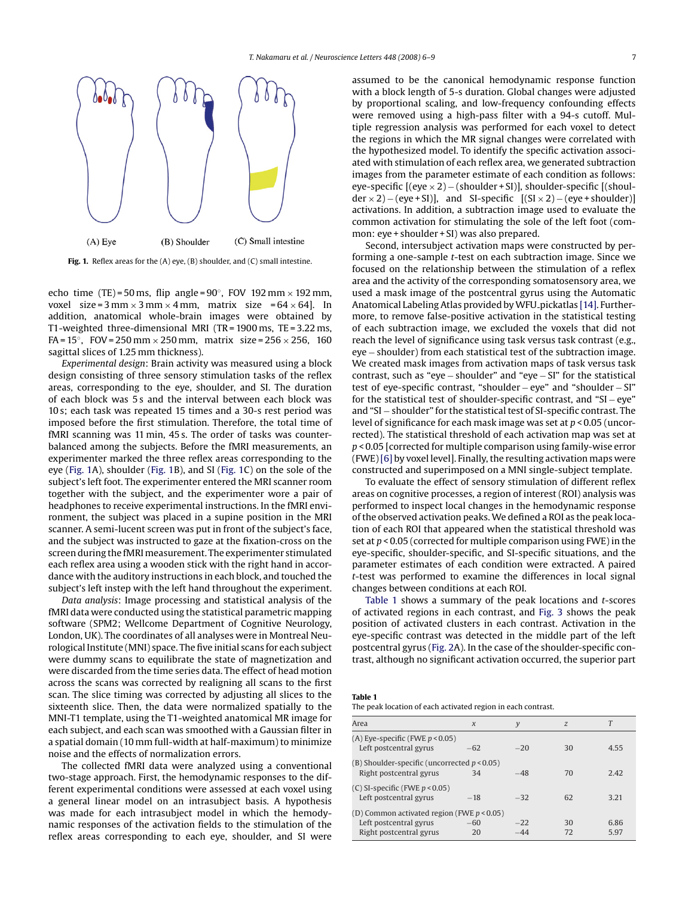

**Fig. 1.** Reflex areas for the (A) eye, (B) shoulder, and (C) small intestine.

echo time (TE) = 50 ms, flip angle =  $90^\circ$ , FOV 192 mm × 192 mm, voxel size = 3 mm  $\times$  3 mm  $\times$  4 mm, matrix size = 64  $\times$  64]. In addition, anatomical whole-brain images were obtained by T1-weighted three-dimensional MRI (TR = 1900 ms, TE = 3.22 ms, FA =  $15^\circ$ , FOV =  $250$  mm ×  $250$  mm, matrix size =  $256 \times 256$ , 160 sagittal slices of 1.25 mm thickness).

*Experimental design*: Brain activity was measured using a block design consisting of three sensory stimulation tasks of the reflex areas, corresponding to the eye, shoulder, and SI. The duration of each block was 5s and the interval between each block was 10 s; each task was repeated 15 times and a 30-s rest period was imposed before the first stimulation. Therefore, the total time of fMRI scanning was 11 min, 45 s. The order of tasks was counterbalanced among the subjects. Before the fMRI measurements, an experimenter marked the three reflex areas corresponding to the eye (Fig. 1A), shoulder (Fig. 1B), and SI (Fig. 1C) on the sole of the subject's left foot. The experimenter entered the MRI scanner room together with the subject, and the experimenter wore a pair of headphones to receive experimental instructions. In the fMRI environment, the subject was placed in a supine position in the MRI scanner. A semi-lucent screen was put in front of the subject's face, and the subject was instructed to gaze at the fixation-cross on the screen during the fMRI measurement. The experimenter stimulated each reflex area using a wooden stick with the right hand in accordance with the auditory instructions in each block, and touched the subject's left instep with the left hand throughout the experiment.

*Data analysis*: Image processing and statistical analysis of the fMRI data were conducted using the statistical parametric mapping software (SPM2; Wellcome Department of Cognitive Neurology, London, UK). The coordinates of all analyses were in Montreal Neurological Institute (MNI) space. The five initial scans for each subject were dummy scans to equilibrate the state of magnetization and were discarded from the time series data. The effect of head motion across the scans was corrected by realigning all scans to the first scan. The slice timing was corrected by adjusting all slices to the sixteenth slice. Then, the data were normalized spatially to the MNI-T1 template, using the T1-weighted anatomical MR image for each subject, and each scan was smoothed with a Gaussian filter in a spatial domain (10 mm full-width at half-maximum) to minimize noise and the effects of normalization errors.

The collected fMRI data were analyzed using a conventional two-stage approach. First, the hemodynamic responses to the different experimental conditions were assessed at each voxel using a general linear model on an intrasubject basis. A hypothesis was made for each intrasubject model in which the hemodynamic responses of the activation fields to the stimulation of the reflex areas corresponding to each eye, shoulder, and SI were

assumed to be the canonical hemodynamic response function with a block length of 5-s duration. Global changes were adjusted by proportional scaling, and low-frequency confounding effects were removed using a high-pass filter with a 94-s cutoff. Multiple regression analysis was performed for each voxel to detect the regions in which the MR signal changes were correlated with the hypothesized model. To identify the specific activation associated with stimulation of each reflex area, we generated subtraction images from the parameter estimate of each condition as follows: eye-specific  $[(eye \times 2) - (shoulder + SI)]$ , shoulder-specific  $[(shoulder - I)]$  $der \times 2$ ) – (eye + SI)], and SI-specific  $[(S1 \times 2) - (eye + shoulder)]$ activations. In addition, a subtraction image used to evaluate the common activation for stimulating the sole of the left foot (common: eye + shoulder + SI) was also prepared.

Second, intersubject activation maps were constructed by performing a one-sample *t*-test on each subtraction image. Since we focused on the relationship between the stimulation of a reflex area and the activity of the corresponding somatosensory area, we used a mask image of the postcentral gyrus using the Automatic Anatomical Labeling Atlas provided byWFU pickatlas [\[14\]. F](#page-4-0)urthermore, to remove false-positive activation in the statistical testing of each subtraction image, we excluded the voxels that did not reach the level of significance using task versus task contrast (e.g., eye – shoulder) from each statistical test of the subtraction image. We created mask images from activation maps of task versus task contrast, such as "eye − shoulder" and "eye − SI" for the statistical test of eye-specific contrast, "shoulder − eye" and "shoulder − SI" for the statistical test of shoulder-specific contrast, and "SI − eye" and "SI − shoulder" for the statistical test of SI-specific contrast. The level of significance for each mask image was set at *p* < 0.05 (uncorrected). The statistical threshold of each activation map was set at *p* < 0.05 [corrected for multiple comparison using family-wise error (FWE)[\[6\]](#page-4-0) by voxel level]. Finally, the resulting activation maps were constructed and superimposed on a MNI single-subject template.

To evaluate the effect of sensory stimulation of different reflex areas on cognitive processes, a region of interest (ROI) analysis was performed to inspect local changes in the hemodynamic response of the observed activation peaks. We defined a ROI as the peak location of each ROI that appeared when the statistical threshold was set at *p* < 0.05 (corrected for multiple comparison using FWE) in the eye-specific, shoulder-specific, and SI-specific situations, and the parameter estimates of each condition were extracted. A paired *t*-test was performed to examine the differences in local signal changes between conditions at each ROI.

Table 1 shows a summary of the peak locations and *t*-scores of activated regions in each contrast, and [Fig. 3](#page-4-0) shows the peak position of activated clusters in each contrast. Activation in the eye-specific contrast was detected in the middle part of the left postcentral gyrus [\(Fig. 2A](#page-3-0)). In the case of the shoulder-specific contrast, although no significant activation occurred, the superior part

#### **Table 1**

The peak location of each activated region in each contrast.

| Area                                                                       | $\chi$ | $\mathcal V$ | Z  |      |
|----------------------------------------------------------------------------|--------|--------------|----|------|
| (A) Eye-specific (FWE $p < 0.05$ )<br>Left postcentral gyrus               | $-62$  | $-20$        | 30 | 4.55 |
| (B) Shoulder-specific (uncorrected $p < 0.05$ )<br>Right postcentral gyrus | 34     | $-48$        | 70 | 2.42 |
| (C) SI-specific (FWE $p < 0.05$ )<br>Left postcentral gyrus                | $-18$  | $-32$        | 62 | 3.21 |
| (D) Common activated region (FWE $p < 0.05$ )                              |        |              |    |      |
| Left postcentral gyrus                                                     | $-60$  | $-22$        | 30 | 6.86 |
| Right postcentral gyrus                                                    | 20     | -44          | 72 | 5.97 |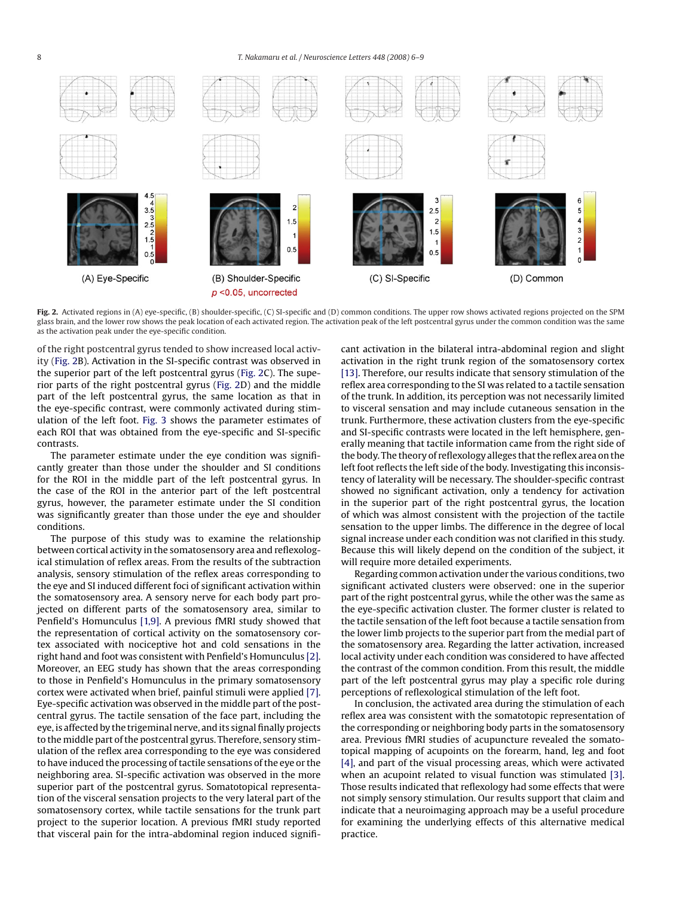<span id="page-3-0"></span>

Fig. 2. Activated regions in (A) eye-specific, (B) shoulder-specific, (C) SI-specific and (D) common conditions. The upper row shows activated regions projected on the SPM glass brain, and the lower row shows the peak location of each activated region. The activation peak of the left postcentral gyrus under the common condition was the same as the activation peak under the eye-specific condition.

of the right postcentral gyrus tended to show increased local activity (Fig. 2B). Activation in the SI-specific contrast was observed in the superior part of the left postcentral gyrus (Fig. 2C). The superior parts of the right postcentral gyrus (Fig. 2D) and the middle part of the left postcentral gyrus, the same location as that in the eye-specific contrast, were commonly activated during stimulation of the left foot. [Fig. 3](#page-4-0) shows the parameter estimates of each ROI that was obtained from the eye-specific and SI-specific contrasts.

The parameter estimate under the eye condition was significantly greater than those under the shoulder and SI conditions for the ROI in the middle part of the left postcentral gyrus. In the case of the ROI in the anterior part of the left postcentral gyrus, however, the parameter estimate under the SI condition was significantly greater than those under the eye and shoulder conditions.

The purpose of this study was to examine the relationship between cortical activity in the somatosensory area and reflexological stimulation of reflex areas. From the results of the subtraction analysis, sensory stimulation of the reflex areas corresponding to the eye and SI induced different foci of significant activation within the somatosensory area. A sensory nerve for each body part projected on different parts of the somatosensory area, similar to Penfield's Homunculus [\[1,9\]. A](#page-4-0) previous fMRI study showed that the representation of cortical activity on the somatosensory cortex associated with nociceptive hot and cold sensations in the right hand and foot was consistent with Penfield's Homunculus [\[2\].](#page-4-0) Moreover, an EEG study has shown that the areas corresponding to those in Penfield's Homunculus in the primary somatosensory cortex were activated when brief, painful stimuli were applied [\[7\].](#page-4-0) Eye-specific activation was observed in the middle part of the postcentral gyrus. The tactile sensation of the face part, including the eye, is affected by the trigeminal nerve, and its signal finally projects to the middle part of the postcentral gyrus. Therefore, sensory stimulation of the reflex area corresponding to the eye was considered to have induced the processing of tactile sensations of the eye or the neighboring area. SI-specific activation was observed in the more superior part of the postcentral gyrus. Somatotopical representation of the visceral sensation projects to the very lateral part of the somatosensory cortex, while tactile sensations for the trunk part project to the superior location. A previous fMRI study reported that visceral pain for the intra-abdominal region induced significant activation in the bilateral intra-abdominal region and slight activation in the right trunk region of the somatosensory cortex [\[13\]. T](#page-4-0)herefore, our results indicate that sensory stimulation of the reflex area corresponding to the SI was related to a tactile sensation of the trunk. In addition, its perception was not necessarily limited to visceral sensation and may include cutaneous sensation in the trunk. Furthermore, these activation clusters from the eye-specific and SI-specific contrasts were located in the left hemisphere, generally meaning that tactile information came from the right side of the body. The theory of reflexology alleges that the reflex area on the left foot reflects the left side of the body. Investigating this inconsistency of laterality will be necessary. The shoulder-specific contrast showed no significant activation, only a tendency for activation in the superior part of the right postcentral gyrus, the location of which was almost consistent with the projection of the tactile sensation to the upper limbs. The difference in the degree of local signal increase under each condition was not clarified in this study. Because this will likely depend on the condition of the subject, it will require more detailed experiments.

Regarding common activation under the various conditions, two significant activated clusters were observed: one in the superior part of the right postcentral gyrus, while the other was the same as the eye-specific activation cluster. The former cluster is related to the tactile sensation of the left foot because a tactile sensation from the lower limb projects to the superior part from the medial part of the somatosensory area. Regarding the latter activation, increased local activity under each condition was considered to have affected the contrast of the common condition. From this result, the middle part of the left postcentral gyrus may play a specific role during perceptions of reflexological stimulation of the left foot.

In conclusion, the activated area during the stimulation of each reflex area was consistent with the somatotopic representation of the corresponding or neighboring body parts in the somatosensory area. Previous fMRI studies of acupuncture revealed the somatotopical mapping of acupoints on the forearm, hand, leg and foot [\[4\], a](#page-4-0)nd part of the visual processing areas, which were activated when an acupoint related to visual function was stimulated [\[3\].](#page-4-0) Those results indicated that reflexology had some effects that were not simply sensory stimulation. Our results support that claim and indicate that a neuroimaging approach may be a useful procedure for examining the underlying effects of this alternative medical practice.